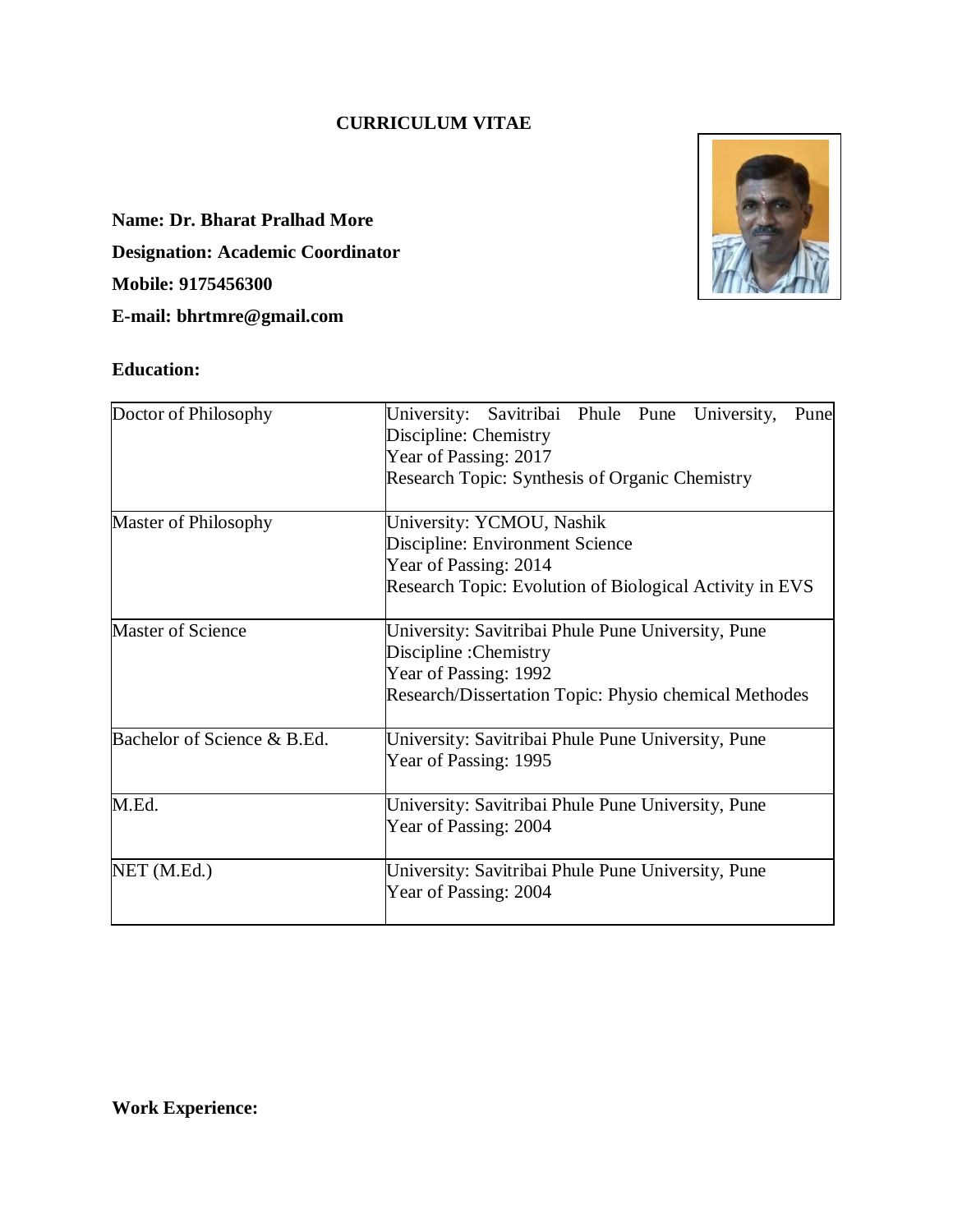## **CURRICULUM VITAE**

**Name: Dr. Bharat Pralhad More Designation: Academic Coordinator Mobile: 9175456300 E-mail: bhrtmre@gmail.com** 

## **Education:**



| Doctor of Philosophy        | University:<br>Savitribai Phule Pune<br>University,<br>Pune<br>Discipline: Chemistry<br>Year of Passing: 2017<br><b>Research Topic: Synthesis of Organic Chemistry</b> |  |  |  |  |  |
|-----------------------------|------------------------------------------------------------------------------------------------------------------------------------------------------------------------|--|--|--|--|--|
| Master of Philosophy        | University: YCMOU, Nashik<br>Discipline: Environment Science<br>Year of Passing: 2014<br>Research Topic: Evolution of Biological Activity in EVS                       |  |  |  |  |  |
| <b>Master of Science</b>    | University: Savitribai Phule Pune University, Pune<br>Discipline : Chemistry<br>Year of Passing: 1992<br>Research/Dissertation Topic: Physio chemical Methodes         |  |  |  |  |  |
| Bachelor of Science & B.Ed. | University: Savitribai Phule Pune University, Pune<br>Year of Passing: 1995                                                                                            |  |  |  |  |  |
| M.Ed.                       | University: Savitribai Phule Pune University, Pune<br>Year of Passing: 2004                                                                                            |  |  |  |  |  |
| NET (M.Ed.)                 | University: Savitribai Phule Pune University, Pune<br>Year of Passing: 2004                                                                                            |  |  |  |  |  |